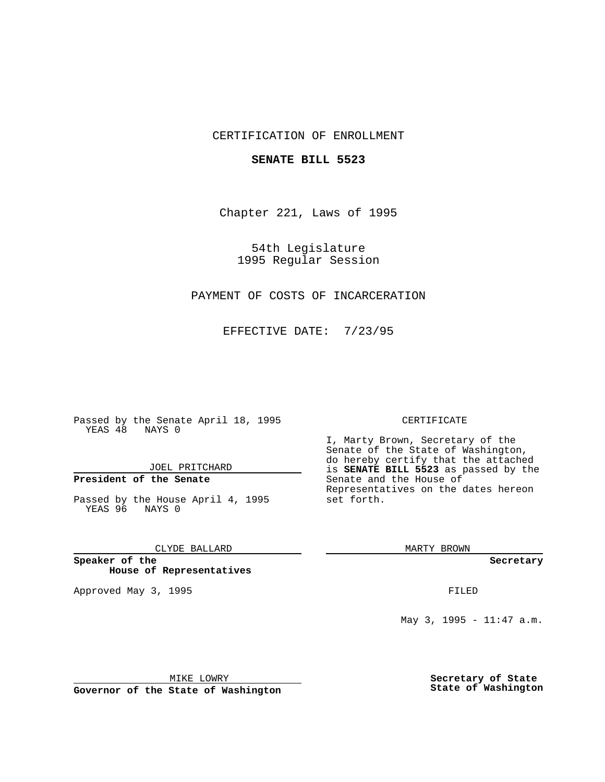## CERTIFICATION OF ENROLLMENT

### **SENATE BILL 5523**

Chapter 221, Laws of 1995

54th Legislature 1995 Regular Session

# PAYMENT OF COSTS OF INCARCERATION

EFFECTIVE DATE: 7/23/95

Passed by the Senate April 18, 1995 YEAS 48 NAYS 0

JOEL PRITCHARD

# **President of the Senate**

Passed by the House April 4, 1995 YEAS 96 NAYS 0

### CLYDE BALLARD

**Speaker of the House of Representatives**

Approved May 3, 1995 **FILED** 

#### CERTIFICATE

I, Marty Brown, Secretary of the Senate of the State of Washington, do hereby certify that the attached is **SENATE BILL 5523** as passed by the Senate and the House of Representatives on the dates hereon set forth.

MARTY BROWN

**Secretary**

May 3, 1995 - 11:47 a.m.

MIKE LOWRY

**Governor of the State of Washington**

**Secretary of State State of Washington**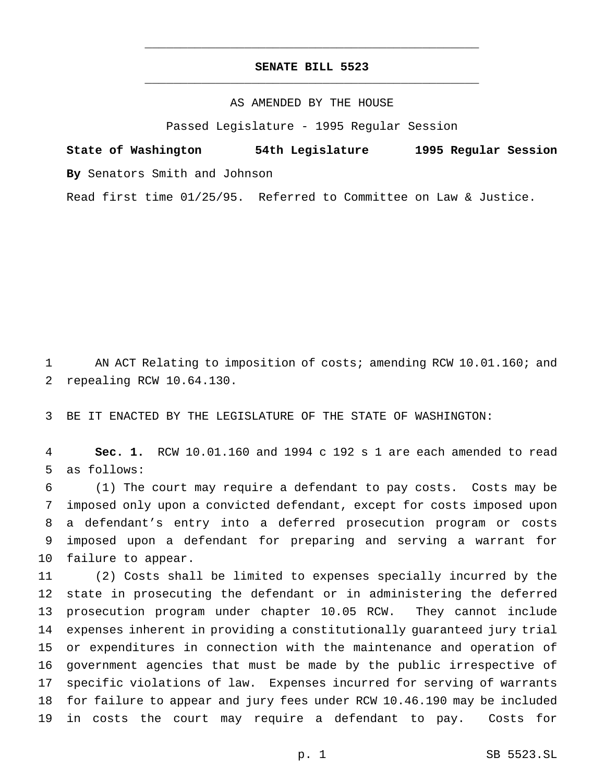# **SENATE BILL 5523** \_\_\_\_\_\_\_\_\_\_\_\_\_\_\_\_\_\_\_\_\_\_\_\_\_\_\_\_\_\_\_\_\_\_\_\_\_\_\_\_\_\_\_\_\_\_\_

\_\_\_\_\_\_\_\_\_\_\_\_\_\_\_\_\_\_\_\_\_\_\_\_\_\_\_\_\_\_\_\_\_\_\_\_\_\_\_\_\_\_\_\_\_\_\_

### AS AMENDED BY THE HOUSE

Passed Legislature - 1995 Regular Session

**State of Washington 54th Legislature 1995 Regular Session By** Senators Smith and Johnson

Read first time 01/25/95. Referred to Committee on Law & Justice.

 AN ACT Relating to imposition of costs; amending RCW 10.01.160; and repealing RCW 10.64.130.

BE IT ENACTED BY THE LEGISLATURE OF THE STATE OF WASHINGTON:

 **Sec. 1.** RCW 10.01.160 and 1994 c 192 s 1 are each amended to read as follows:

 (1) The court may require a defendant to pay costs. Costs may be imposed only upon a convicted defendant, except for costs imposed upon a defendant's entry into a deferred prosecution program or costs imposed upon a defendant for preparing and serving a warrant for failure to appear.

 (2) Costs shall be limited to expenses specially incurred by the state in prosecuting the defendant or in administering the deferred prosecution program under chapter 10.05 RCW. They cannot include expenses inherent in providing a constitutionally guaranteed jury trial or expenditures in connection with the maintenance and operation of government agencies that must be made by the public irrespective of specific violations of law. Expenses incurred for serving of warrants for failure to appear and jury fees under RCW 10.46.190 may be included in costs the court may require a defendant to pay. Costs for